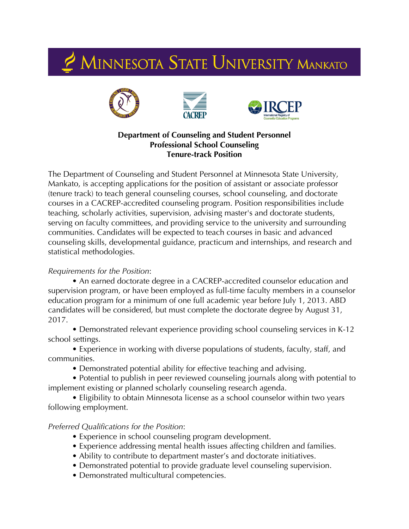## 2 MINNESOTA STATE UNIVERSITY MANKATO







## **Department of Counseling and Student Personnel Professional School Counseling Tenure-track Position**

The Department of Counseling and Student Personnel at Minnesota State University, Mankato, is accepting applications for the position of assistant or associate professor (tenure track) to teach general counseling courses, school counseling, and doctorate courses in a CACREP-accredited counseling program. Position responsibilities include teaching, scholarly activities, supervision, advising master's and doctorate students, serving on faculty committees, and providing service to the university and surrounding communities. Candidates will be expected to teach courses in basic and advanced counseling skills, developmental guidance, practicum and internships, and research and statistical methodologies.

## *Requirements for the Position*:

• An earned doctorate degree in a CACREP-accredited counselor education and supervision program, or have been employed as full-time faculty members in a counselor education program for a minimum of one full academic year before July 1, 2013. ABD candidates will be considered, but must complete the doctorate degree by August 31, 2017.

• Demonstrated relevant experience providing school counseling services in K-12 school settings.

• Experience in working with diverse populations of students, faculty, staff, and communities.

• Demonstrated potential ability for effective teaching and advising.

• Potential to publish in peer reviewed counseling journals along with potential to implement existing or planned scholarly counseling research agenda.

• Eligibility to obtain Minnesota license as a school counselor within two years following employment.

## *Preferred Qualifications for the Position*:

- Experience in school counseling program development.
- Experience addressing mental health issues affecting children and families.
- Ability to contribute to department master's and doctorate initiatives.
- Demonstrated potential to provide graduate level counseling supervision.
- Demonstrated multicultural competencies.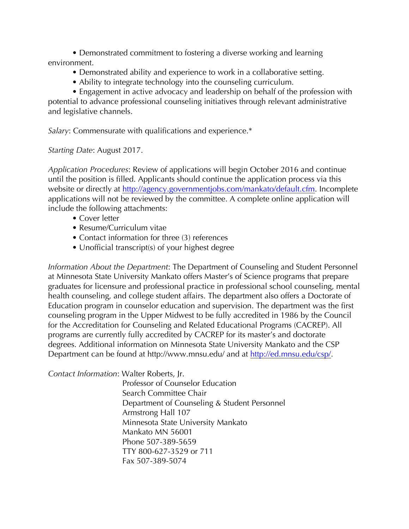• Demonstrated commitment to fostering a diverse working and learning environment.

- Demonstrated ability and experience to work in a collaborative setting.
- Ability to integrate technology into the counseling curriculum.

• Engagement in active advocacy and leadership on behalf of the profession with potential to advance professional counseling initiatives through relevant administrative and legislative channels.

*Salary*: Commensurate with qualifications and experience.\*

*Starting Date*: August 2017.

*Application Procedures*: Review of applications will begin October 2016 and continue until the position is filled. Applicants should continue the application process via this website or directly at http://agency.governmentjobs.com/mankato/default.cfm. Incomplete applications will not be reviewed by the committee. A complete online application will include the following attachments:

- Cover letter
- Resume/Curriculum vitae
- Contact information for three (3) references
- Unofficial transcript(s) of your highest degree

*Information About the Department*: The Department of Counseling and Student Personnel at Minnesota State University Mankato offers Master's of Science programs that prepare graduates for licensure and professional practice in professional school counseling, mental health counseling, and college student affairs. The department also offers a Doctorate of Education program in counselor education and supervision. The department was the first counseling program in the Upper Midwest to be fully accredited in 1986 by the Council for the Accreditation for Counseling and Related Educational Programs (CACREP). All programs are currently fully accredited by CACREP for its master's and doctorate degrees. Additional information on Minnesota State University Mankato and the CSP Department can be found at http://www.mnsu.edu/ and at http://ed.mnsu.edu/csp/.

*Contact Information*: Walter Roberts, Jr.

Professor of Counselor Education Search Committee Chair Department of Counseling & Student Personnel Armstrong Hall 107 Minnesota State University Mankato Mankato MN 56001 Phone 507-389-5659 TTY 800-627-3529 or 711 Fax 507-389-5074